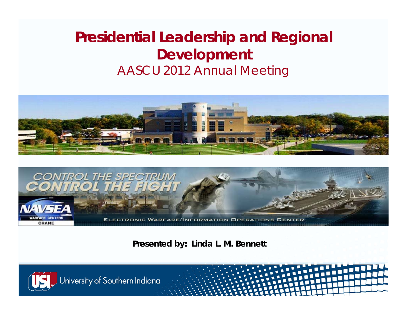## **Presidential Leadership and Regional Development** AASCU 2012 Annual Meeting





**Presented by: Linda L. M. Bennett**

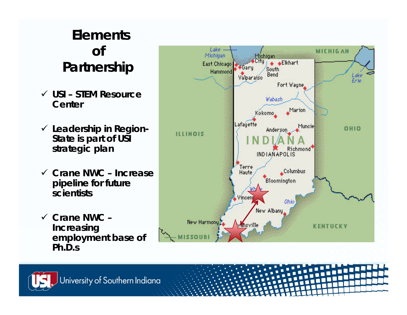### **Elements of Partnership**

- 9 **USI – STEM Resource Center**
- 9 **Leadership in Region-State is part of USI strategic plan**
- 9 **Crane NWC – Increase pipeline for future scientists**
- 9 **Crane NWC – Increasing employment base of Ph.D.s**



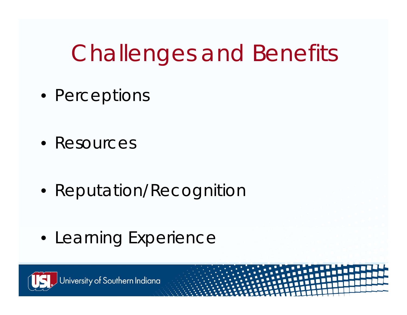# Challenges and Benefits

- Perceptions
- Resources
- Reputation/Recognition
- Learning Experience

University of Southern Indiana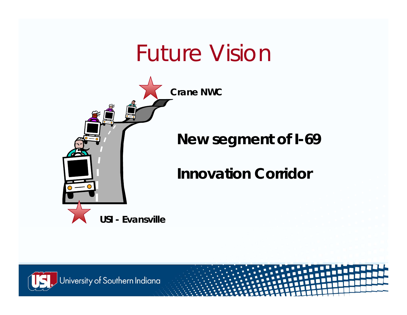## Future Visior



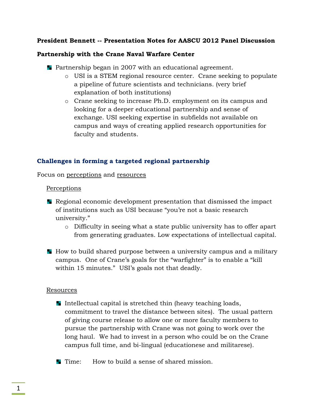#### **President Bennett -- Presentation Notes for AASCU 2012 Panel Discussion**

#### **Partnership with the Crane Naval Warfare Center**

- **Partnership began in 2007 with an educational agreement.** 
	- o USI is a STEM regional resource center. Crane seeking to populate a pipeline of future scientists and technicians. (very brief explanation of both institutions)
	- o Crane seeking to increase Ph.D. employment on its campus and looking for a deeper educational partnership and sense of exchange. USI seeking expertise in subfields not available on campus and ways of creating applied research opportunities for faculty and students.

#### **Challenges in forming a targeted regional partnership**

Focus on perceptions and resources

#### **Perceptions**

- Regional economic development presentation that dismissed the impact of institutions such as USI because "you're not a basic research university."
	- o Difficulty in seeing what a state public university has to offer apart from generating graduates. Low expectations of intellectual capital.
- How to build shared purpose between a university campus and a military campus. One of Crane's goals for the "warfighter" is to enable a "kill within 15 minutes." USI's goals not that deadly.

#### Resources

- Intellectual capital is stretched thin (heavy teaching loads, commitment to travel the distance between sites). The usual pattern of giving course release to allow one or more faculty members to pursue the partnership with Crane was not going to work over the long haul. We had to invest in a person who could be on the Crane campus full time, and bi-lingual (educationese and militarese).
- **T** Time: How to build a sense of shared mission.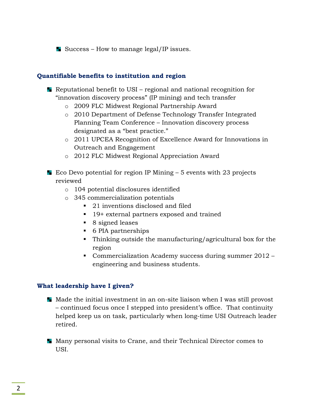Success – How to manage legal/IP issues.

#### **Quantifiable benefits to institution and region**

- Reputational benefit to USI regional and national recognition for "innovation discovery process" (IP mining) and tech transfer
	- o 2009 FLC Midwest Regional Partnership Award
	- o 2010 Department of Defense Technology Transfer Integrated Planning Team Conference – Innovation discovery process designated as a "best practice."
	- o 2011 UPCEA Recognition of Excellence Award for Innovations in Outreach and Engagement
	- o 2012 FLC Midwest Regional Appreciation Award
- Eco Devo potential for region IP Mining  $-5$  events with 23 projects reviewed
	- o 104 potential disclosures identified
	- o 345 commercialization potentials
		- 21 inventions disclosed and filed
		- 19+ external partners exposed and trained
		- 8 signed leases
		- 6 PIA partnerships
		- Thinking outside the manufacturing/agricultural box for the region
		- Commercialization Academy success during summer 2012 engineering and business students.

#### **What leadership have I given?**

- $\blacksquare$  Made the initial investment in an on-site liaison when I was still provost – continued focus once I stepped into president's office. That continuity helped keep us on task, particularly when long-time USI Outreach leader retired.
- Many personal visits to Crane, and their Technical Director comes to USI.